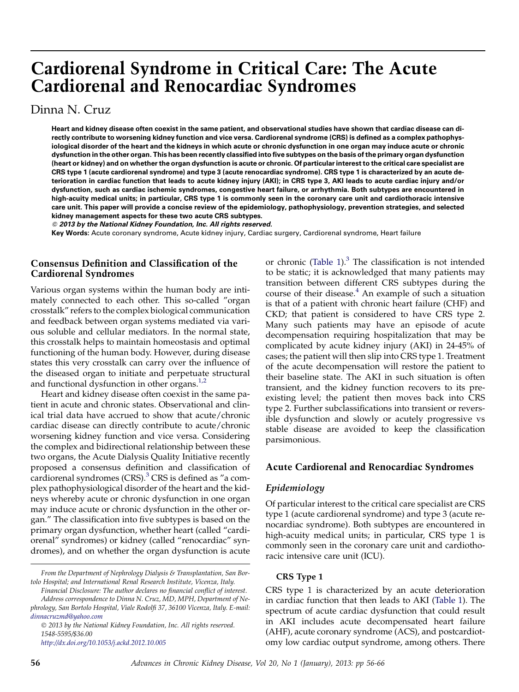# Cardiorenal Syndrome in Critical Care: The Acute Cardiorenal and Renocardiac Syndromes

Dinna N. Cruz

Heart and kidney disease often coexist in the same patient, and observational studies have shown that cardiac disease can directly contribute to worsening kidney function and vice versa. Cardiorenal syndrome (CRS) is defined as a complex pathophysiological disorder of the heart and the kidneys in which acute or chronic dysfunction in one organ may induce acute or chronic dysfunction in the other organ. This has been recently classified into five subtypes on the basis of the primary organ dysfunction (heart or kidney) and on whether the organ dysfunction is acute or chronic. Of particular interest to the critical care specialist are CRS type 1 (acute cardiorenal syndrome) and type 3 (acute renocardiac syndrome). CRS type 1 is characterized by an acute deterioration in cardiac function that leads to acute kidney injury (AKI); in CRS type 3, AKI leads to acute cardiac injury and/or dysfunction, such as cardiac ischemic syndromes, congestive heart failure, or arrhythmia. Both subtypes are encountered in high-acuity medical units; in particular, CRS type 1 is commonly seen in the coronary care unit and cardiothoracic intensive care unit. This paper will provide a concise review of the epidemiology, pathophysiology, prevention strategies, and selected kidney management aspects for these two acute CRS subtypes.

 $©$  2013 by the National Kidney Foundation, Inc. All rights reserved.

Key Words: Acute coronary syndrome, Acute kidney injury, Cardiac surgery, Cardiorenal syndrome, Heart failure

# Consensus Definition and Classification of the Cardiorenal Syndromes

Various organ systems within the human body are intimately connected to each other. This so-called ''organ crosstalk'' refers to the complex biological communication and feedback between organ systems mediated via various soluble and cellular mediators. In the normal state, this crosstalk helps to maintain homeostasis and optimal functioning of the human body. However, during disease states this very crosstalk can carry over the influence of the diseased organ to initiate and perpetuate structural and functional dysfunction in other organs.<sup>1,2</sup>

Heart and kidney disease often coexist in the same patient in acute and chronic states. Observational and clinical trial data have accrued to show that acute/chronic cardiac disease can directly contribute to acute/chronic worsening kidney function and vice versa. Considering the complex and bidirectional relationship between these two organs, the Acute Dialysis Quality Initiative recently proposed a consensus definition and classification of cardiorenal syndromes  $(CRS)$ .<sup>[3](#page-7-0)</sup> CRS is defined as "a complex pathophysiological disorder of the heart and the kidneys whereby acute or chronic dysfunction in one organ may induce acute or chronic dysfunction in the other organ.'' The classification into five subtypes is based on the primary organ dysfunction, whether heart (called ''cardiorenal'' syndromes) or kidney (called ''renocardiac'' syndromes), and on whether the organ dysfunction is acute

 2013 by the National Kidney Foundation, Inc. All rights reserved. 1548-5595/\$36.00

<http://dx.doi.org/10.1053/j.ackd.2012.10.005>

or chronic (Table  $1$ ).<sup>3</sup> The classification is not intended to be static; it is acknowledged that many patients may transition between different CRS subtypes during the course of their disease. $4$  An example of such a situation is that of a patient with chronic heart failure (CHF) and CKD; that patient is considered to have CRS type 2. Many such patients may have an episode of acute decompensation requiring hospitalization that may be complicated by acute kidney injury (AKI) in 24-45% of cases; the patient will then slip into CRS type 1. Treatment of the acute decompensation will restore the patient to their baseline state. The AKI in such situation is often transient, and the kidney function recovers to its preexisting level; the patient then moves back into CRS type 2. Further subclassifications into transient or reversible dysfunction and slowly or acutely progressive vs stable disease are avoided to keep the classification parsimonious.

# Acute Cardiorenal and Renocardiac Syndromes

# Epidemiology

Of particular interest to the critical care specialist are CRS type 1 (acute cardiorenal syndrome) and type 3 (acute renocardiac syndrome). Both subtypes are encountered in high-acuity medical units; in particular, CRS type 1 is commonly seen in the coronary care unit and cardiothoracic intensive care unit (ICU).

# CRS Type 1

CRS type 1 is characterized by an acute deterioration in cardiac function that then leads to AKI ([Table 1](#page-2-0)). The spectrum of acute cardiac dysfunction that could result in AKI includes acute decompensated heart failure (AHF), acute coronary syndrome (ACS), and postcardiotomy low cardiac output syndrome, among others. There

From the Department of Nephrology Dialysis & Transplantation, San Bortolo Hospital; and International Renal Research Institute, Vicenza, Italy.

Financial Disclosure: The author declares no financial conflict of interest. Address correspondence to Dinna N. Cruz, MD, MPH, Department of Nephrology, San Bortolo Hospital, Viale Rodolfi 37, 36100 Vicenza, Italy. E-mail: [dinnacruzmd@yahoo.com](mailto:dinnacruzmd@yahoo.com)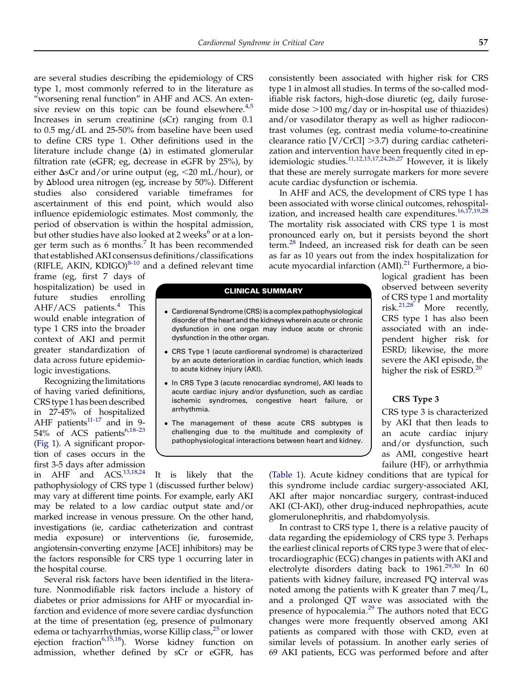are several studies describing the epidemiology of CRS type 1, most commonly referred to in the literature as ''worsening renal function'' in AHF and ACS. An extensive review on this topic can be found elsewhere. $4,5$ Increases in serum creatinine (sCr) ranging from 0.1 to 0.5 mg/dL and 25-50% from baseline have been used to define CRS type 1. Other definitions used in the literature include change  $(\Delta)$  in estimated glomerular filtration rate (eGFR; eg, decrease in eGFR by 25%), by either  $\Delta$ sCr and/or urine output (eg, <20 mL/hour), or by  $\Delta$ blood urea nitrogen (eg, increase by 50%). Different studies also considered variable timeframes for ascertainment of this end point, which would also influence epidemiologic estimates. Most commonly, the period of observation is within the hospital admission, but other studies have also looked at 2 weeks<sup>[6](#page-7-0)</sup> or at a longer term such as  $6$  months.<sup>[7](#page-7-0)</sup> It has been recommended that established AKI consensus definitions/classifications (RIFLE, AKIN, KDIGO) $8-10$  and a defined relevant time

frame (eg, first 7 days of hospitalization) be used in future studies enrolling  $AHF/ACS$  patients.<sup>[4](#page-7-0)</sup> This would enable integration of type 1 CRS into the broader context of AKI and permit greater standardization of data across future epidemiologic investigations.

Recognizing the limitations of having varied definitions, CRS type 1 has been described in 27-45% of hospitalized AHF patients $11-17$  and in 9-54% of ACS patients<sup>6,18-23</sup> [\(Fig 1](#page-2-0)). A significant proportion of cases occurs in the first 3-5 days after admission

consistently been associated with higher risk for CRS type 1 in almost all studies. In terms of the so-called modifiable risk factors, high-dose diuretic (eg, daily furosemide dose  $>100$  mg/day or in-hospital use of thiazides) and/or vasodilator therapy as well as higher radiocontrast volumes (eg, contrast media volume-to-creatinine clearance ratio [V/CrCl]  $>3.7$ ) during cardiac catheterization and intervention have been frequently cited in epidemiologic studies. $\frac{11,12,15,17,24,26,27}{1000}$  $\frac{11,12,15,17,24,26,27}{1000}$  $\frac{11,12,15,17,24,26,27}{1000}$  However, it is likely that these are merely surrogate markers for more severe acute cardiac dysfunction or ischemia.

In AHF and ACS, the development of CRS type 1 has been associated with worse clinical outcomes, rehospitalization, and increased health care expenditures.<sup>16,17,19,28</sup> The mortality risk associated with CRS type 1 is most pronounced early on, but it persists beyond the short term.<sup>[28](#page-8-0)</sup> Indeed, an increased risk for death can be seen as far as 10 years out from the index hospitalization for acute myocardial infarction  $(AMI).^{21}$  $(AMI).^{21}$  $(AMI).^{21}$  Furthermore, a bio-

#### CLINICAL SUMMARY

- Cardiorenal Syndrome (CRS)is a complex pathophysiological disorder of the heart and the kidneys wherein acute or chronic dysfunction in one organ may induce acute or chronic dysfunction in the other organ.
- CRS Type 1 (acute cardiorenal syndrome) is characterized by an acute deterioration in cardiac function, which leads to acute kidney injury (AKI).
- In CRS Type 3 (acute renocardiac syndrome), AKI leads to acute cardiac injury and/or dysfunction, such as cardiac ischemic syndromes, congestive heart failure, or arrhythmia.
- The management of these acute CRS subtypes is challenging due to the multitude and complexity of pathophysiological interactions between heart and kidney.

logical gradient has been observed between severity of CRS type 1 and mortality risk. $21,28$  More recently, CRS type 1 has also been associated with an independent higher risk for ESRD; likewise, the more severe the AKI episode, the higher the risk of ESRD.<sup>[20](#page-8-0)</sup>

## CRS Type 3

CRS type 3 is characterized by AKI that then leads to an acute cardiac injury and/or dysfunction, such as AMI, congestive heart failure (HF), or arrhythmia

in AHF and ACS[.13,18,24](#page-7-0) It is likely that the pathophysiology of CRS type 1 (discussed further below) may vary at different time points. For example, early AKI may be related to a low cardiac output state and/or marked increase in venous pressure. On the other hand, investigations (ie, cardiac catheterization and contrast media exposure) or interventions (ie, furosemide, angiotensin-converting enzyme [ACE] inhibitors) may be the factors responsible for CRS type 1 occurring later in the hospital course.

Several risk factors have been identified in the literature. Nonmodifiable risk factors include a history of diabetes or prior admissions for AHF or myocardial infarction and evidence of more severe cardiac dysfunction at the time of presentation (eg, presence of pulmonary edema or tachyarrhythmias, worse Killip class,<sup>[25](#page-8-0)</sup> or lower ejection fraction<sup>6,15,18</sup>). Worse kidney function on admission, whether defined by sCr or eGFR, has [\(Table 1](#page-2-0)). Acute kidney conditions that are typical for this syndrome include cardiac surgery-associated AKI, AKI after major noncardiac surgery, contrast-induced AKI (CI-AKI), other drug-induced nephropathies, acute glomerulonephritis, and rhabdomyolysis.

In contrast to CRS type 1, there is a relative paucity of data regarding the epidemiology of CRS type 3. Perhaps the earliest clinical reports of CRS type 3 were that of electrocardiographic (ECG) changes in patients with AKI and electrolyte disorders dating back to  $1961$ .<sup>[29,30](#page-8-0)</sup> In 60 patients with kidney failure, increased PQ interval was noted among the patients with K greater than 7 meq/L, and a prolonged QT wave was associated with the presence of hypocalemia.<sup>[29](#page-8-0)</sup> The authors noted that ECG changes were more frequently observed among AKI patients as compared with those with CKD, even at similar levels of potassium. In another early series of 69 AKI patients, ECG was performed before and after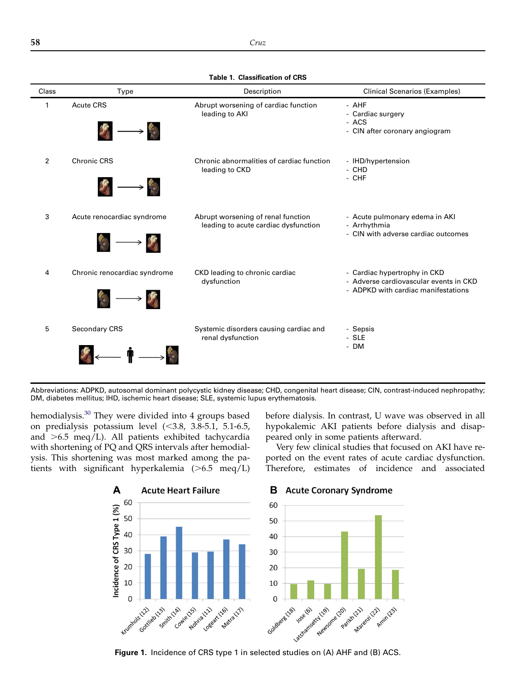<span id="page-2-0"></span>

| Class          | Type                                                                                                                                                                                                                                                                                                                                                                                                  | Description                                                                | <b>Clinical Scenarios (Examples)</b>                                                                          |
|----------------|-------------------------------------------------------------------------------------------------------------------------------------------------------------------------------------------------------------------------------------------------------------------------------------------------------------------------------------------------------------------------------------------------------|----------------------------------------------------------------------------|---------------------------------------------------------------------------------------------------------------|
| 1              | <b>Acute CRS</b><br>$\begin{picture}(150,10) \put(0,0){\dashbox{0.5}(10,0){ }} \put(150,0){\circle{10}} \put(150,0){\circle{10}} \put(150,0){\circle{10}} \put(150,0){\circle{10}} \put(150,0){\circle{10}} \put(150,0){\circle{10}} \put(150,0){\circle{10}} \put(150,0){\circle{10}} \put(150,0){\circle{10}} \put(150,0){\circle{10}} \put(150,0){\circle{10}} \put(150,0){\circle{10}} \put(150,$ | Abrupt worsening of cardiac function<br>leading to AKI                     | - AHF<br>- Cardiac surgery<br>- ACS<br>- CIN after coronary angiogram                                         |
| $\overline{2}$ | <b>Chronic CRS</b><br>$\mathscr{F}_{\mathbb{A}} \longrightarrow \mathscr{F}_{\mathbb{A}}$                                                                                                                                                                                                                                                                                                             | Chronic abnormalities of cardiac function<br>leading to CKD                | - IHD/hypertension<br>- CHD<br>- CHF                                                                          |
| 3              | Acute renocardiac syndrome<br>$\mathscr{C}_{\mathscr{C}} \longrightarrow \mathscr{C}_{\mathscr{C}}$                                                                                                                                                                                                                                                                                                   | Abrupt worsening of renal function<br>leading to acute cardiac dysfunction | - Acute pulmonary edema in AKI<br>- Arrhythmia<br>- CIN with adverse cardiac outcomes                         |
| 4              | Chronic renocardiac syndrome<br>$\mathscr{C}_{\mathscr{C}} \longrightarrow \mathscr{C}_{\mathscr{C}}$                                                                                                                                                                                                                                                                                                 | CKD leading to chronic cardiac<br>dysfunction                              | - Cardiac hypertrophy in CKD<br>- Adverse cardiovascular events in CKD<br>- ADPKD with cardiac manifestations |
| 5              | Secondary CRS                                                                                                                                                                                                                                                                                                                                                                                         | Systemic disorders causing cardiac and<br>renal dysfunction                | - Sepsis<br>- SLE<br>- DM                                                                                     |

| Table 1. Classification of CRS |  |  |  |  |  |
|--------------------------------|--|--|--|--|--|
|--------------------------------|--|--|--|--|--|

Abbreviations: ADPKD, autosomal dominant polycystic kidney disease; CHD, congenital heart disease; CIN, contrast-induced nephropathy; DM, diabetes mellitus; IHD, ischemic heart disease; SLE, systemic lupus erythematosis.

hemodialysis.<sup>[30](#page-8-0)</sup> They were divided into 4 groups based on predialysis potassium level  $\approx$  3.8-5.1, 5.1-6.5, and  $>6.5$  meq/L). All patients exhibited tachycardia with shortening of PQ and QRS intervals after hemodialysis. This shortening was most marked among the patients with significant hyperkalemia  $(>6.5 \text{ meg/L})$ 

before dialysis. In contrast, U wave was observed in all hypokalemic AKI patients before dialysis and disappeared only in some patients afterward.

Very few clinical studies that focused on AKI have reported on the event rates of acute cardiac dysfunction. Therefore, estimates of incidence and associated



Figure 1. Incidence of CRS type 1 in selected studies on (A) AHF and (B) ACS.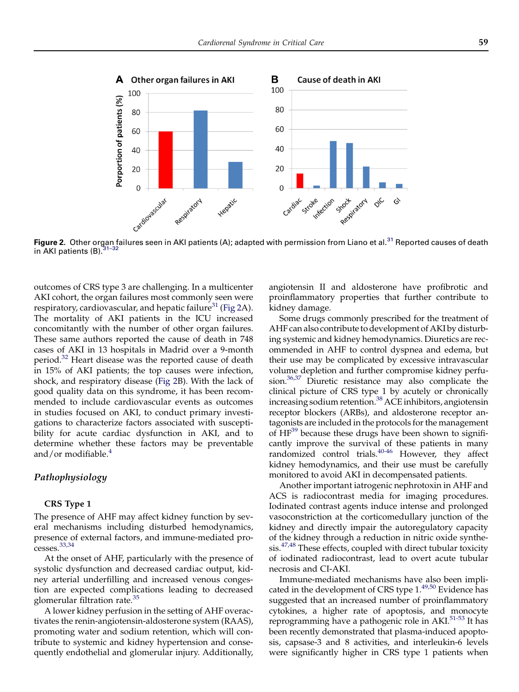

in AKI patients (B).<sup>31-32</sup>

outcomes of CRS type 3 are challenging. In a multicenter AKI cohort, the organ failures most commonly seen were respiratory, cardiovascular, and hepatic failure<sup>31</sup> (Fig 2A). The mortality of AKI patients in the ICU increased concomitantly with the number of other organ failures. These same authors reported the cause of death in 748 cases of AKI in 13 hospitals in Madrid over a 9-month period.<sup>[32](#page-8-0)</sup> Heart disease was the reported cause of death in 15% of AKI patients; the top causes were infection, shock, and respiratory disease (Fig 2B). With the lack of good quality data on this syndrome, it has been recommended to include cardiovascular events as outcomes in studies focused on AKI, to conduct primary investigations to characterize factors associated with susceptibility for acute cardiac dysfunction in AKI, and to determine whether these factors may be preventable and/or modifiable. $4$ 

## Pathophysiology

#### CRS Type 1

The presence of AHF may affect kidney function by several mechanisms including disturbed hemodynamics, presence of external factors, and immune-mediated processes.[33,34](#page-8-0)

At the onset of AHF, particularly with the presence of systolic dysfunction and decreased cardiac output, kidney arterial underfilling and increased venous congestion are expected complications leading to decreased glomerular filtration rate.<sup>[35](#page-8-0)</sup>

A lower kidney perfusion in the setting of AHF overactivates the renin-angiotensin-aldosterone system (RAAS), promoting water and sodium retention, which will contribute to systemic and kidney hypertension and consequently endothelial and glomerular injury. Additionally,

angiotensin II and aldosterone have profibrotic and proinflammatory properties that further contribute to kidney damage.

Some drugs commonly prescribed for the treatment of AHF can also contribute to development of AKI by disturbing systemic and kidney hemodynamics. Diuretics are recommended in AHF to control dyspnea and edema, but their use may be complicated by excessive intravascular volume depletion and further compromise kidney perfusion.<sup>36,37</sup> Diuretic resistance may also complicate the clinical picture of CRS type 1 by acutely or chronically increasing sodium retention.<sup>[38](#page-8-0)</sup> ACE inhibitors, angiotensin receptor blockers (ARBs), and aldosterone receptor antagonists are included in the protocols for the management of  $HF<sup>39</sup>$  because these drugs have been shown to significantly improve the survival of these patients in many randomized control trials.<sup>40-46</sup> However, they affect kidney hemodynamics, and their use must be carefully monitored to avoid AKI in decompensated patients.

Another important iatrogenic nephrotoxin in AHF and ACS is radiocontrast media for imaging procedures. Iodinated contrast agents induce intense and prolonged vasoconstriction at the corticomedullary junction of the kidney and directly impair the autoregulatory capacity of the kidney through a reduction in nitric oxide synthe-sis.<sup>[47,48](#page-8-0)</sup> These effects, coupled with direct tubular toxicity of iodinated radiocontrast, lead to overt acute tubular necrosis and CI-AKI.

Immune-mediated mechanisms have also been implicated in the development of CRS type 1.<sup>49,50</sup> Evidence has suggested that an increased number of proinflammatory cytokines, a higher rate of apoptosis, and monocyte reprogramming have a pathogenic role in AKI.<sup>[51-53](#page-8-0)</sup> It has been recently demonstrated that plasma-induced apoptosis, capsase-3 and 8 activities, and interleukin-6 levels were significantly higher in CRS type 1 patients when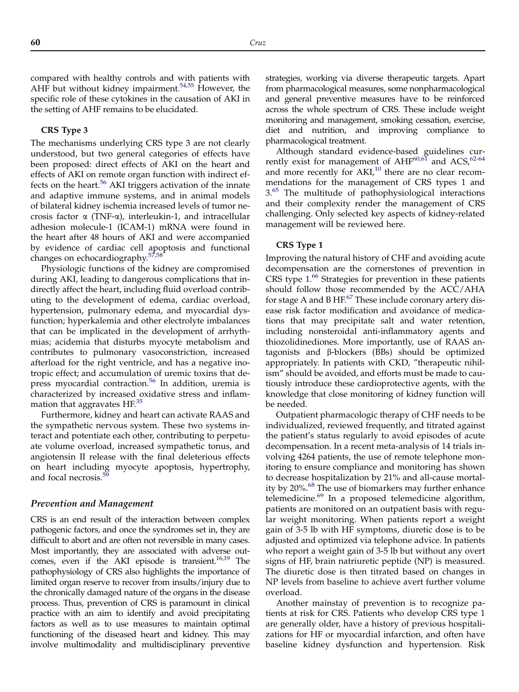compared with healthy controls and with patients with AHF but without kidney impairment.<sup>[54,55](#page-8-0)</sup> However, the specific role of these cytokines in the causation of AKI in the setting of AHF remains to be elucidated.

#### CRS Type 3

The mechanisms underlying CRS type 3 are not clearly understood, but two general categories of effects have been proposed: direct effects of AKI on the heart and effects of AKI on remote organ function with indirect ef-fects on the heart.<sup>[56](#page-9-0)</sup> AKI triggers activation of the innate and adaptive immune systems, and in animal models of bilateral kidney ischemia increased levels of tumor necrosis factor  $\alpha$  (TNF- $\alpha$ ), interleukin-1, and intracellular adhesion molecule-1 (ICAM-1) mRNA were found in the heart after 48 hours of AKI and were accompanied by evidence of cardiac cell apoptosis and functional changes on echocardiography.<sup>[57,58](#page-9-0)</sup>

Physiologic functions of the kidney are compromised during AKI, leading to dangerous complications that indirectly affect the heart, including fluid overload contributing to the development of edema, cardiac overload, hypertension, pulmonary edema, and myocardial dysfunction; hyperkalemia and other electrolyte imbalances that can be implicated in the development of arrhythmias; acidemia that disturbs myocyte metabolism and contributes to pulmonary vasoconstriction, increased afterload for the right ventricle, and has a negative inotropic effect; and accumulation of uremic toxins that de-press myocardial contraction.<sup>[56](#page-9-0)</sup> In addition, uremia is characterized by increased oxidative stress and inflam-mation that aggravates HF.<sup>[35](#page-8-0)</sup>

Furthermore, kidney and heart can activate RAAS and the sympathetic nervous system. These two systems interact and potentiate each other, contributing to perpetuate volume overload, increased sympathetic tonus, and angiotensin II release with the final deleterious effects on heart including myocyte apoptosis, hypertrophy, and focal necrosis.<sup>5</sup>

#### Prevention and Management

CRS is an end result of the interaction between complex pathogenic factors, and once the syndromes set in, they are difficult to abort and are often not reversible in many cases. Most importantly, they are associated with adverse outcomes, even if the AKI episode is transient. $16,19$  The pathophysiology of CRS also highlights the importance of limited organ reserve to recover from insults/injury due to the chronically damaged nature of the organs in the disease process. Thus, prevention of CRS is paramount in clinical practice with an aim to identify and avoid precipitating factors as well as to use measures to maintain optimal functioning of the diseased heart and kidney. This may involve multimodality and multidisciplinary preventive

strategies, working via diverse therapeutic targets. Apart from pharmacological measures, some nonpharmacological and general preventive measures have to be reinforced across the whole spectrum of CRS. These include weight monitoring and management, smoking cessation, exercise, diet and nutrition, and improving compliance to pharmacological treatment.

Although standard evidence-based guidelines currently exist for management of  $AHF^{60,61}$  $AHF^{60,61}$  $AHF^{60,61}$  and  $ACS^{62-64}$  $ACS^{62-64}$  $ACS^{62-64}$ and more recently for  $AKI<sub>10</sub>$  $AKI<sub>10</sub>$  $AKI<sub>10</sub>$  there are no clear recommendations for the management of CRS types 1 and 3.[65](#page-9-0) The multitude of pathophysiological interactions and their complexity render the management of CRS challenging. Only selected key aspects of kidney-related management will be reviewed here.

#### CRS Type 1

Improving the natural history of CHF and avoiding acute decompensation are the cornerstones of prevention in CRS type  $1^{66}$  Strategies for prevention in these patients should follow those recommended by the ACC/AHA for stage A and B HF.<sup>[67](#page-9-0)</sup> These include coronary artery disease risk factor modification and avoidance of medications that may precipitate salt and water retention, including nonsteroidal anti-inflammatory agents and thiozolidinediones. More importantly, use of RAAS antagonists and b-blockers (BBs) should be optimized appropriately. In patients with CKD, ''therapeutic nihilism'' should be avoided, and efforts must be made to cautiously introduce these cardioprotective agents, with the knowledge that close monitoring of kidney function will be needed.

Outpatient pharmacologic therapy of CHF needs to be individualized, reviewed frequently, and titrated against the patient's status regularly to avoid episodes of acute decompensation. In a recent meta-analysis of 14 trials involving 4264 patients, the use of remote telephone monitoring to ensure compliance and monitoring has shown to decrease hospitalization by 21% and all-cause mortal-ity by 20%.<sup>[68](#page-9-0)</sup> The use of biomarkers may further enhance telemedicine.<sup>[69](#page-9-0)</sup> In a proposed telemedicine algorithm, patients are monitored on an outpatient basis with regular weight monitoring. When patients report a weight gain of 3-5 lb with HF symptoms, diuretic dose is to be adjusted and optimized via telephone advice. In patients who report a weight gain of 3-5 lb but without any overt signs of HF, brain natriuretic peptide (NP) is measured. The diuretic dose is then titrated based on changes in NP levels from baseline to achieve avert further volume overload.

Another mainstay of prevention is to recognize patients at risk for CRS. Patients who develop CRS type 1 are generally older, have a history of previous hospitalizations for HF or myocardial infarction, and often have baseline kidney dysfunction and hypertension. Risk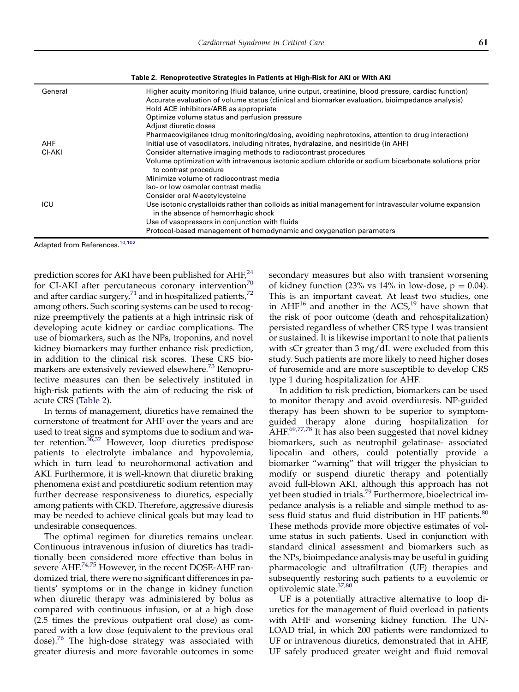| Table 2. Renoprotective Strategies in Patients at High-Risk for AKI or With AKI |
|---------------------------------------------------------------------------------|
|---------------------------------------------------------------------------------|

<span id="page-5-0"></span>

| General | Higher acuity monitoring (fluid balance, urine output, creatinine, blood pressure, cardiac function)                                           |
|---------|------------------------------------------------------------------------------------------------------------------------------------------------|
|         | Accurate evaluation of volume status (clinical and biomarker evaluation, bioimpedance analysis)                                                |
|         | Hold ACE inhibitors/ARB as appropriate                                                                                                         |
|         |                                                                                                                                                |
|         | Optimize volume status and perfusion pressure                                                                                                  |
|         | Adjust diuretic doses                                                                                                                          |
|         | Pharmacovigilance (drug monitoring/dosing, avoiding nephrotoxins, attention to drug interaction)                                               |
| AHF     | Initial use of vasodilators, including nitrates, hydralazine, and nesiritide (in AHF)                                                          |
| CI-AKI  | Consider alternative imaging methods to radiocontrast procedures                                                                               |
|         | Volume optimization with intravenous isotonic sodium chloride or sodium bicarbonate solutions prior<br>to contrast procedure                   |
|         | Minimize volume of radiocontrast media                                                                                                         |
|         |                                                                                                                                                |
|         | Iso- or low osmolar contrast media                                                                                                             |
|         | Consider oral N-acetylcysteine                                                                                                                 |
| ICU     | Use isotonic crystalloids rather than colloids as initial management for intravascular volume expansion<br>in the absence of hemorrhagic shock |
|         | Use of vasopressors in conjunction with fluids                                                                                                 |
|         | Protocol-based management of hemodynamic and oxygenation parameters                                                                            |
|         |                                                                                                                                                |

Adapted from References.[10,102](#page-7-0)

prediction scores for AKI have been published for  $AHF<sub>1</sub><sup>24</sup>$  $AHF<sub>1</sub><sup>24</sup>$  $AHF<sub>1</sub><sup>24</sup>$ for CI-AKI after percutaneous coronary intervention $70$ and after cardiac surgery, $71$  and in hospitalized patients, $72$ among others. Such scoring systems can be used to recognize preemptively the patients at a high intrinsic risk of developing acute kidney or cardiac complications. The use of biomarkers, such as the NPs, troponins, and novel kidney biomarkers may further enhance risk prediction, in addition to the clinical risk scores. These CRS biomarkers are extensively reviewed elsewhere.<sup>73</sup> Renoprotective measures can then be selectively instituted in high-risk patients with the aim of reducing the risk of acute CRS (Table 2).

In terms of management, diuretics have remained the cornerstone of treatment for AHF over the years and are used to treat signs and symptoms due to sodium and water retention.[36,37](#page-8-0) However, loop diuretics predispose patients to electrolyte imbalance and hypovolemia, which in turn lead to neurohormonal activation and AKI. Furthermore, it is well-known that diuretic braking phenomena exist and postdiuretic sodium retention may further decrease responsiveness to diuretics, especially among patients with CKD. Therefore, aggressive diuresis may be needed to achieve clinical goals but may lead to undesirable consequences.

The optimal regimen for diuretics remains unclear. Continuous intravenous infusion of diuretics has traditionally been considered more effective than bolus in severe AHF.<sup>[74,75](#page-9-0)</sup> However, in the recent DOSE-AHF randomized trial, there were no significant differences in patients' symptoms or in the change in kidney function when diuretic therapy was administered by bolus as compared with continuous infusion, or at a high dose (2.5 times the previous outpatient oral dose) as compared with a low dose (equivalent to the previous oral dose).<sup>[76](#page-9-0)</sup> The high-dose strategy was associated with greater diuresis and more favorable outcomes in some secondary measures but also with transient worsening of kidney function (23% vs 14% in low-dose,  $p = 0.04$ ). This is an important caveat. At least two studies, one in  $AHF^{16}$  $AHF^{16}$  $AHF^{16}$  and another in the ACS,<sup>[19](#page-8-0)</sup> have shown that the risk of poor outcome (death and rehospitalization) persisted regardless of whether CRS type 1 was transient or sustained. It is likewise important to note that patients with sCr greater than 3 mg/dL were excluded from this study. Such patients are more likely to need higher doses of furosemide and are more susceptible to develop CRS type 1 during hospitalization for AHF.

In addition to risk prediction, biomarkers can be used to monitor therapy and avoid overdiuresis. NP-guided therapy has been shown to be superior to symptomguided therapy alone during hospitalization for AHF.<sup>[69,77,78](#page-9-0)</sup> It has also been suggested that novel kidney biomarkers, such as neutrophil gelatinase- associated lipocalin and others, could potentially provide a biomarker ''warning'' that will trigger the physician to modify or suspend diuretic therapy and potentially avoid full-blown AKI, although this approach has not yet been studied in trials.<sup>[79](#page-9-0)</sup> Furthermore, bioelectrical impedance analysis is a reliable and simple method to as-sess fluid status and fluid distribution in HF patients.<sup>[80](#page-9-0)</sup> These methods provide more objective estimates of volume status in such patients. Used in conjunction with standard clinical assessment and biomarkers such as the NPs, bioimpedance analysis may be useful in guiding pharmacologic and ultrafiltration (UF) therapies and subsequently restoring such patients to a euvolemic or optivolemic state.[37,80](#page-8-0)

UF is a potentially attractive alternative to loop diuretics for the management of fluid overload in patients with AHF and worsening kidney function. The UN-LOAD trial, in which 200 patients were randomized to UF or intravenous diuretics, demonstrated that in AHF, UF safely produced greater weight and fluid removal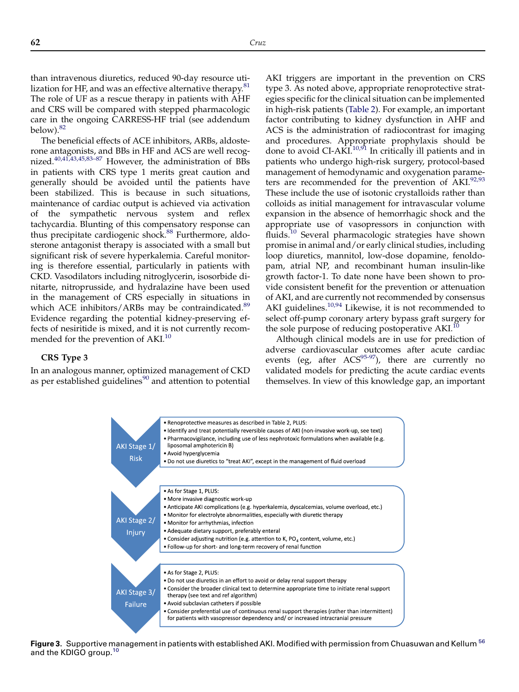<span id="page-6-0"></span>than intravenous diuretics, reduced 90-day resource utilization for HF, and was an effective alternative therapy. $81$ The role of UF as a rescue therapy in patients with AHF and CRS will be compared with stepped pharmacologic care in the ongoing CARRESS-HF trial (see addendum below).[82](#page-9-0)

The beneficial effects of ACE inhibitors, ARBs, aldosterone antagonists, and BBs in HF and ACS are well recognized.<sup>40,41,43,45,83–87</sup> However, the administration of BBs in patients with CRS type 1 merits great caution and generally should be avoided until the patients have been stabilized. This is because in such situations, maintenance of cardiac output is achieved via activation of the sympathetic nervous system and reflex tachycardia. Blunting of this compensatory response can thus precipitate cardiogenic shock.<sup>[88](#page-9-0)</sup> Furthermore, aldosterone antagonist therapy is associated with a small but significant risk of severe hyperkalemia. Careful monitoring is therefore essential, particularly in patients with CKD. Vasodilators including nitroglycerin, isosorbide dinitarte, nitroprusside, and hydralazine have been used in the management of CRS especially in situations in which ACE inhibitors/ARBs may be contraindicated.<sup>[89](#page-9-0)</sup> Evidence regarding the potential kidney-preserving effects of nesiritide is mixed, and it is not currently recom-mended for the prevention of AKI.<sup>[10](#page-7-0)</sup>

CRS Type 3

In an analogous manner, optimized management of CKD as per established guidelines<sup>[90](#page-9-0)</sup> and attention to potential AKI triggers are important in the prevention on CRS type 3. As noted above, appropriate renoprotective strategies specific for the clinical situation can be implemented in high-risk patients ([Table 2\)](#page-5-0). For example, an important factor contributing to kidney dysfunction in AHF and ACS is the administration of radiocontrast for imaging and procedures. Appropriate prophylaxis should be done to avoid CI-AKI.<sup>[10,91](#page-7-0)</sup> In critically ill patients and in patients who undergo high-risk surgery, protocol-based management of hemodynamic and oxygenation parame-ters are recommended for the prevention of AKI.[92,93](#page-10-0) These include the use of isotonic crystalloids rather than colloids as initial management for intravascular volume expansion in the absence of hemorrhagic shock and the appropriate use of vasopressors in conjunction with fluids.<sup>[10](#page-7-0)</sup> Several pharmacologic strategies have shown promise in animal and/or early clinical studies, including loop diuretics, mannitol, low-dose dopamine, fenoldopam, atrial NP, and recombinant human insulin-like growth factor-1. To date none have been shown to provide consistent benefit for the prevention or attenuation of AKI, and are currently not recommended by consensus AKI guidelines.<sup>[10,94](#page-7-0)</sup> Likewise, it is not recommended to select off-pump coronary artery bypass graft surgery for the sole purpose of reducing postoperative  $AKI<sup>10</sup>$  $AKI<sup>10</sup>$  $AKI<sup>10</sup>$ 

Although clinical models are in use for prediction of adverse cardiovascular outcomes after acute cardiac events (eg, after  $ACS^{95-97}$ ), there are currently no validated models for predicting the acute cardiac events themselves. In view of this knowledge gap, an important



Figure 3. Supportive management in patients with established AKI. Modified with permission from Chuasuwan and Kellum  $^{56}$  $^{56}$  $^{56}$ and the KDIGO group.<sup>[10](#page-7-0)</sup>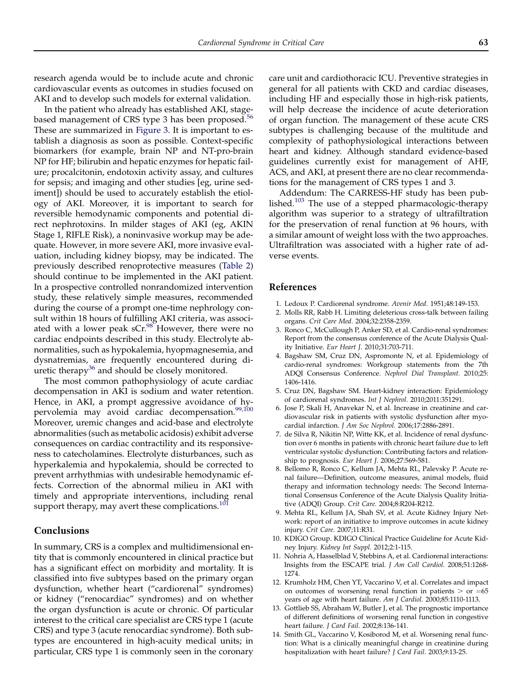<span id="page-7-0"></span>research agenda would be to include acute and chronic cardiovascular events as outcomes in studies focused on AKI and to develop such models for external validation.

In the patient who already has established AKI, stage-based management of CRS type 3 has been proposed.<sup>[56](#page-9-0)</sup> These are summarized in [Figure 3](#page-6-0). It is important to establish a diagnosis as soon as possible. Context-specific biomarkers (for example, brain NP and NT-pro-brain NP for HF; bilirubin and hepatic enzymes for hepatic failure; procalcitonin, endotoxin activity assay, and cultures for sepsis; and imaging and other studies [eg, urine sediment]) should be used to accurately establish the etiology of AKI. Moreover, it is important to search for reversible hemodynamic components and potential direct nephrotoxins. In milder stages of AKI (eg, AKIN Stage 1, RIFLE Risk), a noninvasive workup may be adequate. However, in more severe AKI, more invasive evaluation, including kidney biopsy, may be indicated. The previously described renoprotective measures [\(Table 2\)](#page-5-0) should continue to be implemented in the AKI patient. In a prospective controlled nonrandomized intervention study, these relatively simple measures, recommended during the course of a prompt one-time nephrology consult within 18 hours of fulfilling AKI criteria, was associated with a lower peak  $sCr.^{98}$  $sCr.^{98}$  $sCr.^{98}$  However, there were no cardiac endpoints described in this study. Electrolyte abnormalities, such as hypokalemia, hyopmagnesemia, and dysnatremias, are frequently encountered during diuretic therapy $36$  and should be closely monitored.

The most common pathophysiology of acute cardiac decompensation in AKI is sodium and water retention. Hence, in AKI, a prompt aggressive avoidance of hy-pervolemia may avoid cardiac decompensation.<sup>[99,100](#page-10-0)</sup> Moreover, uremic changes and acid-base and electrolyte abnormalities (such as metabolic acidosis) exhibit adverse consequences on cardiac contractility and its responsiveness to catecholamines. Electrolyte disturbances, such as hyperkalemia and hypokalemia, should be corrected to prevent arrhythmias with undesirable hemodynamic effects. Correction of the abnormal milieu in AKI with timely and appropriate interventions, including renal support therapy, may avert these complications.<sup>[101](#page-10-0)</sup>

## Conclusions

In summary, CRS is a complex and multidimensional entity that is commonly encountered in clinical practice but has a significant effect on morbidity and mortality. It is classified into five subtypes based on the primary organ dysfunction, whether heart ("cardiorenal" syndromes) or kidney (''renocardiac'' syndromes) and on whether the organ dysfunction is acute or chronic. Of particular interest to the critical care specialist are CRS type 1 (acute CRS) and type 3 (acute renocardiac syndrome). Both subtypes are encountered in high-acuity medical units; in particular, CRS type 1 is commonly seen in the coronary

care unit and cardiothoracic ICU. Preventive strategies in general for all patients with CKD and cardiac diseases, including HF and especially those in high-risk patients, will help decrease the incidence of acute deterioration of organ function. The management of these acute CRS subtypes is challenging because of the multitude and complexity of pathophysiological interactions between heart and kidney. Although standard evidence-based guidelines currently exist for management of AHF, ACS, and AKI, at present there are no clear recommendations for the management of CRS types 1 and 3.

Addendum: The CARRESS-HF study has been pub-lished.<sup>[103](#page-10-0)</sup> The use of a stepped pharmacologic-therapy algorithm was superior to a strategy of ultrafiltration for the preservation of renal function at 96 hours, with a similar amount of weight loss with the two approaches. Ultrafiltration was associated with a higher rate of adverse events.

## References

- 1. Ledoux P. Cardiorenal syndrome. Avenir Med. 1951;48:149-153.
- 2. Molls RR, Rabb H. Limiting deleterious cross-talk between failing organs. Crit Care Med. 2004;32:2358-2359.
- 3. Ronco C, McCullough P, Anker SD, et al. Cardio-renal syndromes: Report from the consensus conference of the Acute Dialysis Quality Initiative. Eur Heart J. 2010;31:703-711.
- 4. Bagshaw SM, Cruz DN, Aspromonte N, et al. Epidemiology of cardio-renal syndromes: Workgroup statements from the 7th ADQI Consensus Conference. Nephrol Dial Transplant. 2010;25: 1406-1416.
- 5. Cruz DN, Bagshaw SM. Heart-kidney interaction: Epidemiology of cardiorenal syndromes. Int J Nephrol. 2010;2011:351291.
- 6. Jose P, Skali H, Anavekar N, et al. Increase in creatinine and cardiovascular risk in patients with systolic dysfunction after myocardial infarction. J Am Soc Nephrol. 2006;17:2886-2891.
- 7. de Silva R, Nikitin NP, Witte KK, et al. Incidence of renal dysfunction over 6 months in patients with chronic heart failure due to left ventricular systolic dysfunction: Contributing factors and relationship to prognosis. Eur Heart J. 2006;27:569-581.
- 8. Bellomo R, Ronco C, Kellum JA, Mehta RL, Palevsky P. Acute renal failure—Definition, outcome measures, animal models, fluid therapy and information technology needs: The Second International Consensus Conference of the Acute Dialysis Quality Initiative (ADQI) Group. Crit Care. 2004;8:R204-R212.
- 9. Mehta RL, Kellum JA, Shah SV, et al. Acute Kidney Injury Network: report of an initiative to improve outcomes in acute kidney injury. Crit Care. 2007;11:R31.
- 10. KDIGO Group. KDIGO Clinical Practice Guideline for Acute Kidney Injury. Kidney Int Suppl. 2012;2:1-115.
- 11. Nohria A, Hasselblad V, Stebbins A, et al. Cardiorenal interactions: Insights from the ESCAPE trial. J Am Coll Cardiol. 2008;51:1268- 1274.
- 12. Krumholz HM, Chen YT, Vaccarino V, et al. Correlates and impact on outcomes of worsening renal function in patients  $>$  or  $=$  65 years of age with heart failure. Am J Cardiol. 2000;85:1110-1113.
- 13. Gottlieb SS, Abraham W, Butler J, et al. The prognostic importance of different definitions of worsening renal function in congestive heart failure. J Card Fail. 2002;8:136-141.
- 14. Smith GL, Vaccarino V, Kosiborod M, et al. Worsening renal function: What is a clinically meaningful change in creatinine during hospitalization with heart failure? J Card Fail. 2003;9:13-25.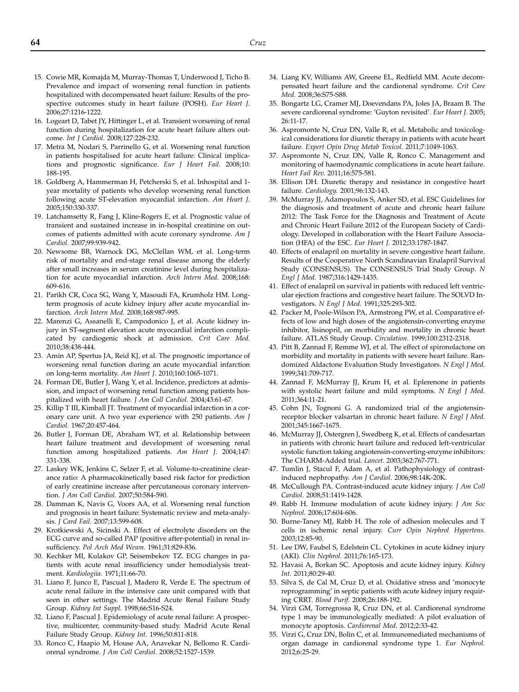- <span id="page-8-0"></span>15. Cowie MR, Komajda M, Murray-Thomas T, Underwood J, Ticho B. Prevalence and impact of worsening renal function in patients hospitalized with decompensated heart failure: Results of the prospective outcomes study in heart failure (POSH). Eur Heart J. 2006;27:1216-1222.
- 16. Logeart D, Tabet JY, Hittinger L, et al. Transient worsening of renal function during hospitalization for acute heart failure alters outcome. Int J Cardiol. 2008;127:228-232.
- 17. Metra M, Nodari S, Parrinello G, et al. Worsening renal function in patients hospitalised for acute heart failure: Clinical implications and prognostic significance. Eur J Heart Fail. 2008;10: 188-195.
- 18. Goldberg A, Hammerman H, Petcherski S, et al. Inhospital and 1 year mortality of patients who develop worsening renal function following acute ST-elevation myocardial infarction. Am Heart J. 2005;150:330-337.
- 19. Latchamsetty R, Fang J, Kline-Rogers E, et al. Prognostic value of transient and sustained increase in in-hospital creatinine on outcomes of patients admitted with acute coronary syndrome. Am J Cardiol. 2007;99:939-942.
- 20. Newsome BB, Warnock DG, McClellan WM, et al. Long-term risk of mortality and end-stage renal disease among the elderly after small increases in serum creatinine level during hospitalization for acute myocardial infarction. Arch Intern Med. 2008;168: 609-616.
- 21. Parikh CR, Coca SG, Wang Y, Masoudi FA, Krumholz HM. Longterm prognosis of acute kidney injury after acute myocardial infarction. Arch Intern Med. 2008;168:987-995.
- 22. Marenzi G, Assanelli E, Campodonico J, et al. Acute kidney injury in ST-segment elevation acute myocardial infarction complicated by cardiogenic shock at admission. Crit Care Med. 2010;38:438-444.
- 23. Amin AP, Spertus JA, Reid KJ, et al. The prognostic importance of worsening renal function during an acute myocardial infarction on long-term mortality. Am Heart J. 2010;160:1065-1071.
- 24. Forman DE, Butler J, Wang Y, et al. Incidence, predictors at admission, and impact of worsening renal function among patients hospitalized with heart failure. J Am Coll Cardiol. 2004;43:61-67.
- 25. Killip T III, Kimball JT. Treatment of myocardial infarction in a coronary care unit. A two year experience with 250 patients. Am J Cardiol. 1967;20:457-464.
- 26. Butler J, Forman DE, Abraham WT, et al. Relationship between heart failure treatment and development of worsening renal function among hospitalized patients. Am Heart J. 2004;147: 331-338.
- 27. Laskey WK, Jenkins C, Selzer F, et al. Volume-to-creatinine clearance ratio: A pharmacokinetically based risk factor for prediction of early creatinine increase after percutaneous coronary intervention. J Am Coll Cardiol. 2007;50:584-590.
- 28. Damman K, Navis G, Voors AA, et al. Worsening renal function and prognosis in heart failure: Systematic review and meta-analysis. J Card Fail. 2007;13:599-608.
- 29. Krotkiewski A, Sicinski A. Effect of electrolyte disorders on the ECG curve and so-called PAP (positive after-potential) in renal insufficiency. Pol Arch Med Wewn. 1961;31:829-836.
- 30. Kechker MI, Kulakov GP, Seisembekov TZ. ECG changes in patients with acute renal insufficiency under hemodialysis treatment. Kardiologiia. 1971;11:66-70.
- 31. Liano F, Junco E, Pascual J, Madero R, Verde E. The spectrum of acute renal failure in the intensive care unit compared with that seen in other settings. The Madrid Acute Renal Failure Study Group. Kidney Int Suppl. 1998;66:S16-S24.
- 32. Liano F, Pascual J. Epidemiology of acute renal failure: A prospective, multicenter, community-based study. Madrid Acute Renal Failure Study Group. Kidney Int. 1996;50:811-818.
- 33. Ronco C, Haapio M, House AA, Anavekar N, Bellomo R. Cardiorenal syndrome. J Am Coll Cardiol. 2008;52:1527-1539.
- 34. Liang KV, Williams AW, Greene EL, Redfield MM. Acute decompensated heart failure and the cardiorenal syndrome. Crit Care Med. 2008;36:S75-S88.
- 35. Bongartz LG, Cramer MJ, Doevendans PA, Joles JA, Braam B. The severe cardiorenal syndrome: 'Guyton revisited'. Eur Heart J. 2005; 26:11-17.
- 36. Aspromonte N, Cruz DN, Valle R, et al. Metabolic and toxicological considerations for diuretic therapy in patients with acute heart failure. Expert Opin Drug Metab Toxicol. 2011;7:1049-1063.
- 37. Aspromonte N, Cruz DN, Valle R, Ronco C. Management and monitoring of haemodynamic complications in acute heart failure. Heart Fail Rev. 2011;16:575-581.
- 38. Ellison DH. Diuretic therapy and resistance in congestive heart failure. Cardiology. 2001;96:132-143.
- 39. McMurray JJ, Adamopoulos S, Anker SD, et al. ESC Guidelines for the diagnosis and treatment of acute and chronic heart failure 2012: The Task Force for the Diagnosis and Treatment of Acute and Chronic Heart Failure 2012 of the European Society of Cardiology. Developed in collaboration with the Heart Failure Association (HFA) of the ESC. Eur Heart J. 2012;33:1787-1847.
- 40. Effects of enalapril on mortality in severe congestive heart failure. Results of the Cooperative North Scandinavian Enalapril Survival Study (CONSENSUS). The CONSENSUS Trial Study Group. N Engl J Med. 1987;316:1429-1435.
- 41. Effect of enalapril on survival in patients with reduced left ventricular ejection fractions and congestive heart failure. The SOLVD Investigators. N Engl J Med. 1991;325:293-302.
- 42. Packer M, Poole-Wilson PA, Armstrong PW, et al. Comparative effects of low and high doses of the angiotensin-converting enzyme inhibitor, lisinopril, on morbidity and mortality in chronic heart failure. ATLAS Study Group. Circulation. 1999;100:2312-2318.
- 43. Pitt B, Zannad F, Remme WJ, et al. The effect of spironolactone on morbidity and mortality in patients with severe heart failure. Randomized Aldactone Evaluation Study Investigators. N Engl J Med. 1999;341:709-717.
- 44. Zannad F, McMurray JJ, Krum H, et al. Eplerenone in patients with systolic heart failure and mild symptoms. N Engl J Med. 2011;364:11-21.
- 45. Cohn JN, Tognoni G. A randomized trial of the angiotensinreceptor blocker valsartan in chronic heart failure. N Engl J Med. 2001;345:1667-1675.
- 46. McMurray JJ, Ostergren J, Swedberg K, et al. Effects of candesartan in patients with chronic heart failure and reduced left-ventricular systolic function taking angiotensin-converting-enzyme inhibitors: The CHARM-Added trial. Lancet. 2003;362:767-771.
- 47. Tumlin J, Stacul F, Adam A, et al. Pathophysiology of contrastinduced nephropathy. Am J Cardiol. 2006;98:14K-20K.
- 48. McCullough PA. Contrast-induced acute kidney injury. J Am Coll Cardiol. 2008;51:1419-1428.
- 49. Rabb H. Immune modulation of acute kidney injury. J Am Soc Nephrol. 2006;17:604-606.
- 50. Burne-Taney MJ, Rabb H. The role of adhesion molecules and T cells in ischemic renal injury. Curr Opin Nephrol Hypertens. 2003;12:85-90.
- 51. Lee DW, Faubel S, Edelstein CL. Cytokines in acute kidney injury (AKI). Clin Nephrol. 2011;76:165-173.
- 52. Havasi A, Borkan SC. Apoptosis and acute kidney injury. Kidney Int. 2011;80:29-40.
- 53. Silva S, de Cal M, Cruz D, et al. Oxidative stress and 'monocyte reprogramming' in septic patients with acute kidney injury requiring CRRT. Blood Purif. 2008;26:188-192.
- 54. Virzi GM, Torregrossa R, Cruz DN, et al. Cardiorenal syndrome type 1 may be immunologically mediated: A pilot evaluation of monocyte apoptosis. Cardiorenal Med. 2012;2:33-42.
- 55. Virzi G, Cruz DN, Bolin C, et al. Immunomediated mechanisms of organ damage in cardiorenal syndrome type 1. Eur Nephrol. 2012;6:25-29.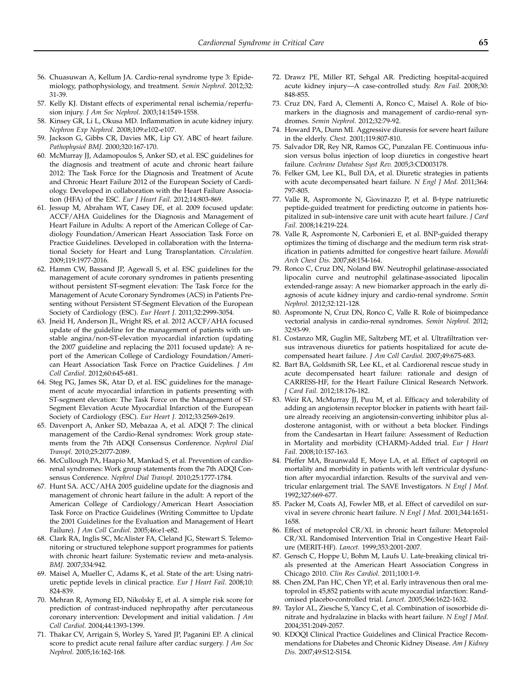- <span id="page-9-0"></span>56. Chuasuwan A, Kellum JA. Cardio-renal syndrome type 3: Epidemiology, pathophysiology, and treatment. Semin Nephrol. 2012;32: 31-39.
- 57. Kelly KJ. Distant effects of experimental renal ischemia/reperfusion injury. J Am Soc Nephrol. 2003;14:1549-1558.
- 58. Kinsey GR, Li L, Okusa MD. Inflammation in acute kidney injury. Nephron Exp Nephrol. 2008;109:e102-e107.
- 59. Jackson G, Gibbs CR, Davies MK, Lip GY. ABC of heart failure. Pathophysiol BMJ. 2000;320:167-170.
- 60. McMurray JJ, Adamopoulos S, Anker SD, et al. ESC guidelines for the diagnosis and treatment of acute and chronic heart failure 2012: The Task Force for the Diagnosis and Treatment of Acute and Chronic Heart Failure 2012 of the European Society of Cardiology. Developed in collaboration with the Heart Failure Association (HFA) of the ESC. Eur J Heart Fail. 2012;14:803-869.
- 61. Jessup M, Abraham WT, Casey DE, et al. 2009 focused update: ACCF/AHA Guidelines for the Diagnosis and Management of Heart Failure in Adults: A report of the American College of Cardiology Foundation/American Heart Association Task Force on Practice Guidelines. Developed in collaboration with the International Society for Heart and Lung Transplantation. Circulation. 2009;119:1977-2016.
- 62. Hamm CW, Bassand JP, Agewall S, et al. ESC guidelines for the management of acute coronary syndromes in patients presenting without persistent ST-segment elevation: The Task Force for the Management of Acute Coronary Syndromes (ACS) in Patients Presenting without Persistent ST-Segment Elevation of the European Society of Cardiology (ESC). Eur Heart J. 2011;32:2999-3054.
- 63. Jneid H, Anderson JL, Wright RS, et al. 2012 ACCF/AHA focused update of the guideline for the management of patients with unstable angina/non-ST-elevation myocardial infarction (updating the 2007 guideline and replacing the 2011 focused update): A report of the American College of Cardiology Foundation/American Heart Association Task Force on Practice Guidelines. J Am Coll Cardiol. 2012;60:645-681.
- 64. Steg PG, James SK, Atar D, et al. ESC guidelines for the management of acute myocardial infarction in patients presenting with ST-segment elevation: The Task Force on the Management of ST-Segment Elevation Acute Myocardial Infarction of the European Society of Cardiology (ESC). Eur Heart J. 2012;33:2569-2619.
- 65. Davenport A, Anker SD, Mebazaa A, et al. ADQI 7: The clinical management of the Cardio-Renal syndromes: Work group statements from the 7th ADQI Consensus Conference. Nephrol Dial Transpl. 2010;25:2077-2089.
- 66. McCullough PA, Haapio M, Mankad S, et al. Prevention of cardiorenal syndromes: Work group statements from the 7th ADQI Consensus Conference. Nephrol Dial Transpl. 2010;25:1777-1784.
- 67. Hunt SA. ACC/AHA 2005 guideline update for the diagnosis and management of chronic heart failure in the adult: A report of the American College of Cardiology/American Heart Association Task Force on Practice Guidelines (Writing Committee to Update the 2001 Guidelines for the Evaluation and Management of Heart Failure). J Am Coll Cardiol. 2005;46:e1-e82.
- 68. Clark RA, Inglis SC, McAlister FA, Cleland JG, Stewart S. Telemonitoring or structured telephone support programmes for patients with chronic heart failure: Systematic review and meta-analysis. BMJ. 2007;334:942.
- 69. Maisel A, Mueller C, Adams K, et al. State of the art: Using natriuretic peptide levels in clinical practice. Eur J Heart Fail. 2008;10: 824-839.
- 70. Mehran R, Aymong ED, Nikolsky E, et al. A simple risk score for prediction of contrast-induced nephropathy after percutaneous coronary intervention: Development and initial validation. J Am Coll Cardiol. 2004;44:1393-1399.
- 71. Thakar CV, Arrigain S, Worley S, Yared JP, Paganini EP. A clinical score to predict acute renal failure after cardiac surgery. J Am Soc Nephrol. 2005;16:162-168.
- 72. Drawz PE, Miller RT, Sehgal AR. Predicting hospital-acquired acute kidney injury—A case-controlled study. Ren Fail. 2008;30: 848-855.
- 73. Cruz DN, Fard A, Clementi A, Ronco C, Maisel A. Role of biomarkers in the diagnosis and management of cardio-renal syndromes. Semin Nephrol. 2012;32:79-92.
- 74. Howard PA, Dunn MI. Aggressive diuresis for severe heart failure in the elderly. Chest. 2001;119:807-810.
- 75. Salvador DR, Rey NR, Ramos GC, Punzalan FE. Continuous infusion versus bolus injection of loop diuretics in congestive heart failure. Cochrane Database Syst Rev. 2005;3:CD003178.
- 76. Felker GM, Lee KL, Bull DA, et al. Diuretic strategies in patients with acute decompensated heart failure. N Engl J Med. 2011;364: 797-805.
- 77. Valle R, Aspromonte N, Giovinazzo P, et al. B-type natriuretic peptide-guided treatment for predicting outcome in patients hospitalized in sub-intensive care unit with acute heart failure. J Card Fail. 2008;14:219-224.
- 78. Valle R, Aspromonte N, Carbonieri E, et al. BNP-guided therapy optimizes the timing of discharge and the medium term risk stratification in patients admitted for congestive heart failure. Monaldi Arch Chest Dis. 2007;68:154-164.
- 79. Ronco C, Cruz DN, Noland BW. Neutrophil gelatinase-associated lipocalin curve and neutrophil gelatinase-associated lipocalin extended-range assay: A new biomarker approach in the early diagnosis of acute kidney injury and cardio-renal syndrome. Semin Nephrol. 2012;32:121-128.
- 80. Aspromonte N, Cruz DN, Ronco C, Valle R. Role of bioimpedance vectorial analysis in cardio-renal syndromes. Semin Nephrol. 2012; 32:93-99.
- 81. Costanzo MR, Guglin ME, Saltzberg MT, et al. Ultrafiltration versus intravenous diuretics for patients hospitalized for acute decompensated heart failure. J Am Coll Cardiol. 2007;49:675-683.
- 82. Bart BA, Goldsmith SR, Lee KL, et al. Cardiorenal rescue study in acute decompensated heart failure: rationale and design of CARRESS-HF, for the Heart Failure Clinical Research Network. J Card Fail. 2012;18:176-182.
- 83. Weir RA, McMurray JJ, Puu M, et al. Efficacy and tolerability of adding an angiotensin receptor blocker in patients with heart failure already receiving an angiotensin-converting inhibitor plus aldosterone antagonist, with or without a beta blocker. Findings from the Candesartan in Heart failure: Assessment of Reduction in Mortality and morbidity (CHARM)-Added trial. Eur J Heart Fail. 2008;10:157-163.
- 84. Pfeffer MA, Braunwald E, Moye LA, et al. Effect of captopril on mortality and morbidity in patients with left ventricular dysfunction after myocardial infarction. Results of the survival and ventricular enlargement trial. The SAVE Investigators. N Engl J Med. 1992;327:669-677.
- 85. Packer M, Coats AJ, Fowler MB, et al. Effect of carvedilol on survival in severe chronic heart failure. N Engl J Med. 2001;344:1651- 1658.
- 86. Effect of metoprolol CR/XL in chronic heart failure: Metoprolol CR/XL Randomised Intervention Trial in Congestive Heart Failure (MERIT-HF). Lancet. 1999;353:2001-2007.
- 87. Gensch C, Hoppe U, Bohm M, Laufs U. Late-breaking clinical trials presented at the American Heart Association Congress in Chicago 2010. Clin Res Cardiol. 2011;100:1-9.
- 88. Chen ZM, Pan HC, Chen YP, et al. Early intravenous then oral metoprolol in 45,852 patients with acute myocardial infarction: Randomised placebo-controlled trial. Lancet. 2005;366:1622-1632.
- 89. Taylor AL, Ziesche S, Yancy C, et al. Combination of isosorbide dinitrate and hydralazine in blacks with heart failure. N Engl J Med. 2004;351:2049-2057.
- 90. KDOQI Clinical Practice Guidelines and Clinical Practice Recommendations for Diabetes and Chronic Kidney Disease. Am J Kidney Dis. 2007;49:S12-S154.